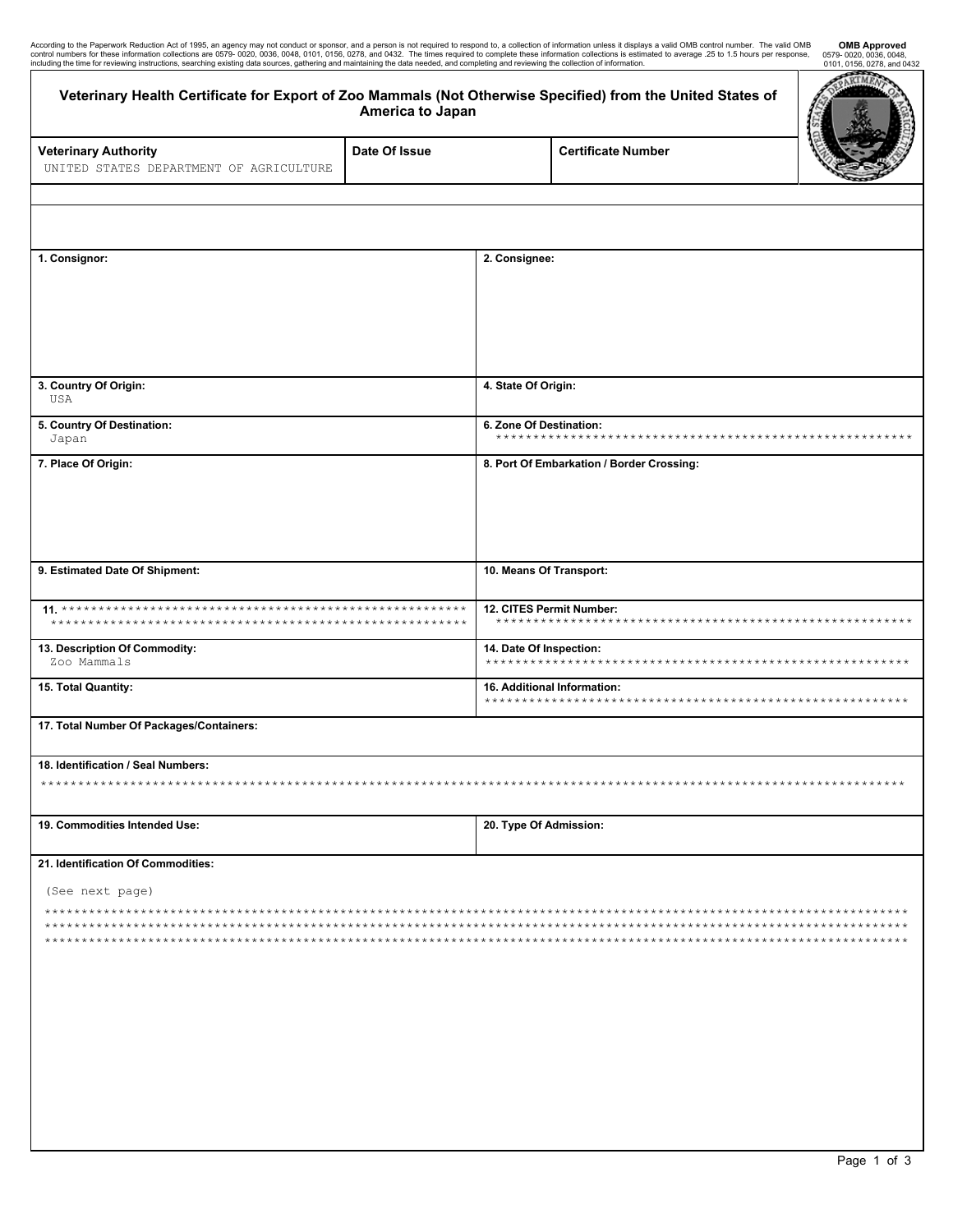| According to the Paperwork Reduction Act of 1995, an agency may not conduct or sponsor, and a person is not required to respond to, a collection of information unless it displays a valid OMB control number. The valid OMB   | <b>OME</b> |
|--------------------------------------------------------------------------------------------------------------------------------------------------------------------------------------------------------------------------------|------------|
| control numbers for these information collections are 0579-0020, 0036, 0048, 0101, 0156, 0278, and 0432. The times required to complete these information collections is estimated to average .25 to 1.5 hours per response, 0 |            |
| including the time for reviewing instructions, searching existing data sources, gathering and maintaining the data needed, and completing and reviewing the collection of information.                                         | 0101 015   |

| control numbers for these information collections are 0579-0020, 0036, 0048, 0101, 0156, 0278, and 0432. The times required to complete these information collections is estimated to average .25 to 1.5 hours per response,<br>including the time for reviewing instructions, searching existing data sources, gathering and maintaining the data needed, and completing and reviewing the collection of information. |                                           |                                                                | According to the Paperwork Reduction Act of 1995, an agency may not conduct or sponsor, and a person is not required to respond to, a collection of information unless it displays a valid OMB control number. The valid OMB | <b>OMB Approved</b><br>0579-0020, 0036, 0048,<br>0101, 0156, 0278, and 0432 |  |
|------------------------------------------------------------------------------------------------------------------------------------------------------------------------------------------------------------------------------------------------------------------------------------------------------------------------------------------------------------------------------------------------------------------------|-------------------------------------------|----------------------------------------------------------------|------------------------------------------------------------------------------------------------------------------------------------------------------------------------------------------------------------------------------|-----------------------------------------------------------------------------|--|
| Veterinary Health Certificate for Export of Zoo Mammals (Not Otherwise Specified) from the United States of                                                                                                                                                                                                                                                                                                            | America to Japan                          |                                                                |                                                                                                                                                                                                                              | RTM                                                                         |  |
| <b>Veterinary Authority</b><br>UNITED STATES DEPARTMENT OF AGRICULTURE                                                                                                                                                                                                                                                                                                                                                 | Date Of Issue                             |                                                                | <b>Certificate Number</b>                                                                                                                                                                                                    |                                                                             |  |
|                                                                                                                                                                                                                                                                                                                                                                                                                        |                                           |                                                                |                                                                                                                                                                                                                              |                                                                             |  |
|                                                                                                                                                                                                                                                                                                                                                                                                                        |                                           |                                                                |                                                                                                                                                                                                                              |                                                                             |  |
| 1. Consignor:                                                                                                                                                                                                                                                                                                                                                                                                          | 2. Consignee:                             |                                                                |                                                                                                                                                                                                                              |                                                                             |  |
| 3. Country Of Origin:<br>USA                                                                                                                                                                                                                                                                                                                                                                                           |                                           | 4. State Of Origin:                                            |                                                                                                                                                                                                                              |                                                                             |  |
| 5. Country Of Destination:<br>Japan                                                                                                                                                                                                                                                                                                                                                                                    |                                           | 6. Zone Of Destination:<br>*********************************** |                                                                                                                                                                                                                              |                                                                             |  |
| 7. Place Of Origin:                                                                                                                                                                                                                                                                                                                                                                                                    | 8. Port Of Embarkation / Border Crossing: |                                                                |                                                                                                                                                                                                                              |                                                                             |  |
| 9. Estimated Date Of Shipment:                                                                                                                                                                                                                                                                                                                                                                                         |                                           | 10. Means Of Transport:                                        |                                                                                                                                                                                                                              |                                                                             |  |
|                                                                                                                                                                                                                                                                                                                                                                                                                        | *************                             | 12. CITES Permit Number:                                       |                                                                                                                                                                                                                              |                                                                             |  |
| 13. Description Of Commodity:<br>Zoo Mammals                                                                                                                                                                                                                                                                                                                                                                           | 14. Date Of Inspection:                   |                                                                |                                                                                                                                                                                                                              |                                                                             |  |
| 15. Total Quantity:                                                                                                                                                                                                                                                                                                                                                                                                    |                                           | 16. Additional Information:<br>**********************          |                                                                                                                                                                                                                              |                                                                             |  |
| 17. Total Number Of Packages/Containers:                                                                                                                                                                                                                                                                                                                                                                               |                                           |                                                                |                                                                                                                                                                                                                              |                                                                             |  |
| 18. Identification / Seal Numbers:<br>********                                                                                                                                                                                                                                                                                                                                                                         |                                           |                                                                |                                                                                                                                                                                                                              |                                                                             |  |
| 19. Commodities Intended Use:                                                                                                                                                                                                                                                                                                                                                                                          |                                           | 20. Type Of Admission:                                         |                                                                                                                                                                                                                              |                                                                             |  |
| 21. Identification Of Commodities:                                                                                                                                                                                                                                                                                                                                                                                     |                                           |                                                                |                                                                                                                                                                                                                              |                                                                             |  |
| (See next page)                                                                                                                                                                                                                                                                                                                                                                                                        |                                           |                                                                |                                                                                                                                                                                                                              |                                                                             |  |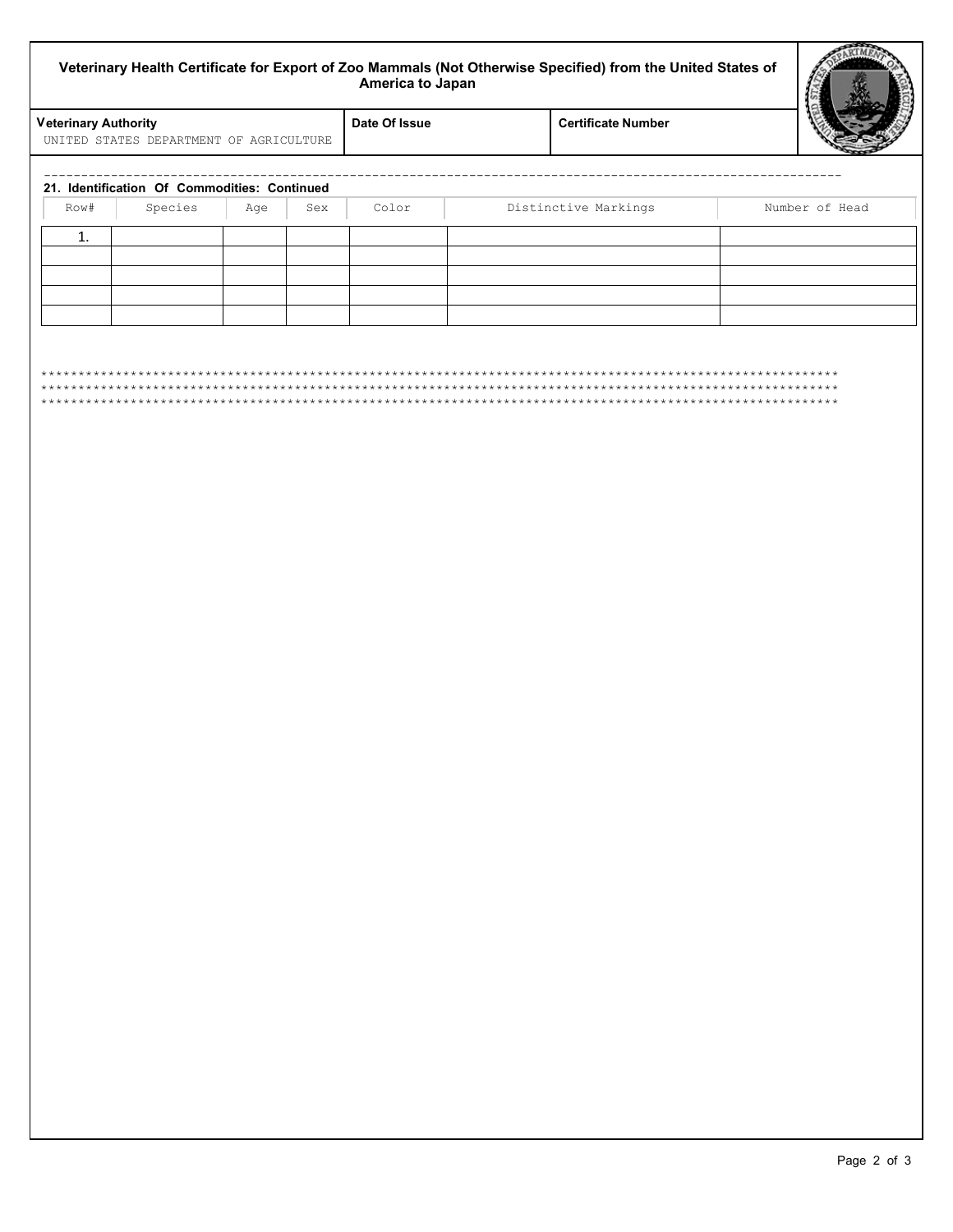| Veterinary Health Certificate for Export of Zoo Mammals (Not Otherwise Specified) from the United States of<br>America to Japan |                                                         |                |     |               |                           |  |                |
|---------------------------------------------------------------------------------------------------------------------------------|---------------------------------------------------------|----------------|-----|---------------|---------------------------|--|----------------|
| <b>Veterinary Authority</b>                                                                                                     | UNITED STATES DEPARTMENT OF AGRICULTURE                 |                |     | Date Of Issue | <b>Certificate Number</b> |  |                |
|                                                                                                                                 |                                                         |                |     |               |                           |  |                |
| Row#                                                                                                                            | 21. Identification Of Commodities: Continued<br>Species | Age            | Sex | Color         | Distinctive Markings      |  | Number of Head |
| ${\bf 1}.$                                                                                                                      |                                                         |                |     |               |                           |  |                |
|                                                                                                                                 |                                                         |                |     |               |                           |  |                |
|                                                                                                                                 |                                                         |                |     |               |                           |  |                |
|                                                                                                                                 |                                                         |                |     |               |                           |  |                |
|                                                                                                                                 |                                                         |                |     |               |                           |  |                |
|                                                                                                                                 |                                                         | ************** |     |               | *****************         |  |                |
|                                                                                                                                 |                                                         |                |     |               |                           |  |                |
|                                                                                                                                 |                                                         |                |     |               |                           |  |                |
|                                                                                                                                 |                                                         |                |     |               |                           |  |                |
|                                                                                                                                 |                                                         |                |     |               |                           |  |                |
|                                                                                                                                 |                                                         |                |     |               |                           |  |                |
|                                                                                                                                 |                                                         |                |     |               |                           |  |                |
|                                                                                                                                 |                                                         |                |     |               |                           |  |                |
|                                                                                                                                 |                                                         |                |     |               |                           |  |                |
|                                                                                                                                 |                                                         |                |     |               |                           |  |                |
|                                                                                                                                 |                                                         |                |     |               |                           |  |                |
|                                                                                                                                 |                                                         |                |     |               |                           |  |                |
|                                                                                                                                 |                                                         |                |     |               |                           |  |                |
|                                                                                                                                 |                                                         |                |     |               |                           |  |                |
|                                                                                                                                 |                                                         |                |     |               |                           |  |                |
|                                                                                                                                 |                                                         |                |     |               |                           |  |                |
|                                                                                                                                 |                                                         |                |     |               |                           |  |                |
|                                                                                                                                 |                                                         |                |     |               |                           |  |                |
|                                                                                                                                 |                                                         |                |     |               |                           |  |                |
|                                                                                                                                 |                                                         |                |     |               |                           |  |                |
|                                                                                                                                 |                                                         |                |     |               |                           |  |                |
|                                                                                                                                 |                                                         |                |     |               |                           |  |                |
|                                                                                                                                 |                                                         |                |     |               |                           |  |                |
|                                                                                                                                 |                                                         |                |     |               |                           |  |                |
|                                                                                                                                 |                                                         |                |     |               |                           |  |                |
|                                                                                                                                 |                                                         |                |     |               |                           |  |                |
|                                                                                                                                 |                                                         |                |     |               |                           |  |                |
|                                                                                                                                 |                                                         |                |     |               |                           |  |                |
|                                                                                                                                 |                                                         |                |     |               |                           |  |                |

Г